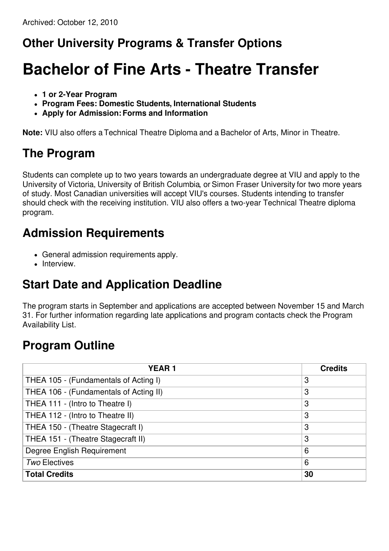## **Other University Programs & Transfer Options**

# **Bachelor of Fine Arts - Theatre Transfer**

- **1 or 2-Year Program**
- **Program Fees: Domestic Students, International Students**
- **Apply for Admission:Forms and Information**

**Note:** VIU also offers a Technical Theatre Diploma and a Bachelor of Arts, Minor in Theatre.

### **The Program**

Students can complete up to two years towards an undergraduate degree at VIU and apply to the University of Victoria, University of British Columbia, or Simon Fraser University for two more years of study. Most Canadian universities will accept VIU's courses. Students intending to transfer should check with the receiving institution. VIU also offers a two-year Technical Theatre diploma program.

#### **Admission Requirements**

- General admission requirements apply.
- Interview.

## **Start Date and Application Deadline**

The program starts in September and applications are accepted between November 15 and March 31. For further information regarding late applications and program contacts check the Program Availability List.

## **Program Outline**

| <b>YEAR1</b>                           | <b>Credits</b> |
|----------------------------------------|----------------|
| THEA 105 - (Fundamentals of Acting I)  | 3              |
| THEA 106 - (Fundamentals of Acting II) | 3              |
| THEA 111 - (Intro to Theatre I)        | 3              |
| THEA 112 - (Intro to Theatre II)       | 3              |
| THEA 150 - (Theatre Stagecraft I)      | 3              |
| THEA 151 - (Theatre Stagecraft II)     | 3              |
| Degree English Requirement             | 6              |
| <b>Two Electives</b>                   | 6              |
| <b>Total Credits</b>                   | 30             |